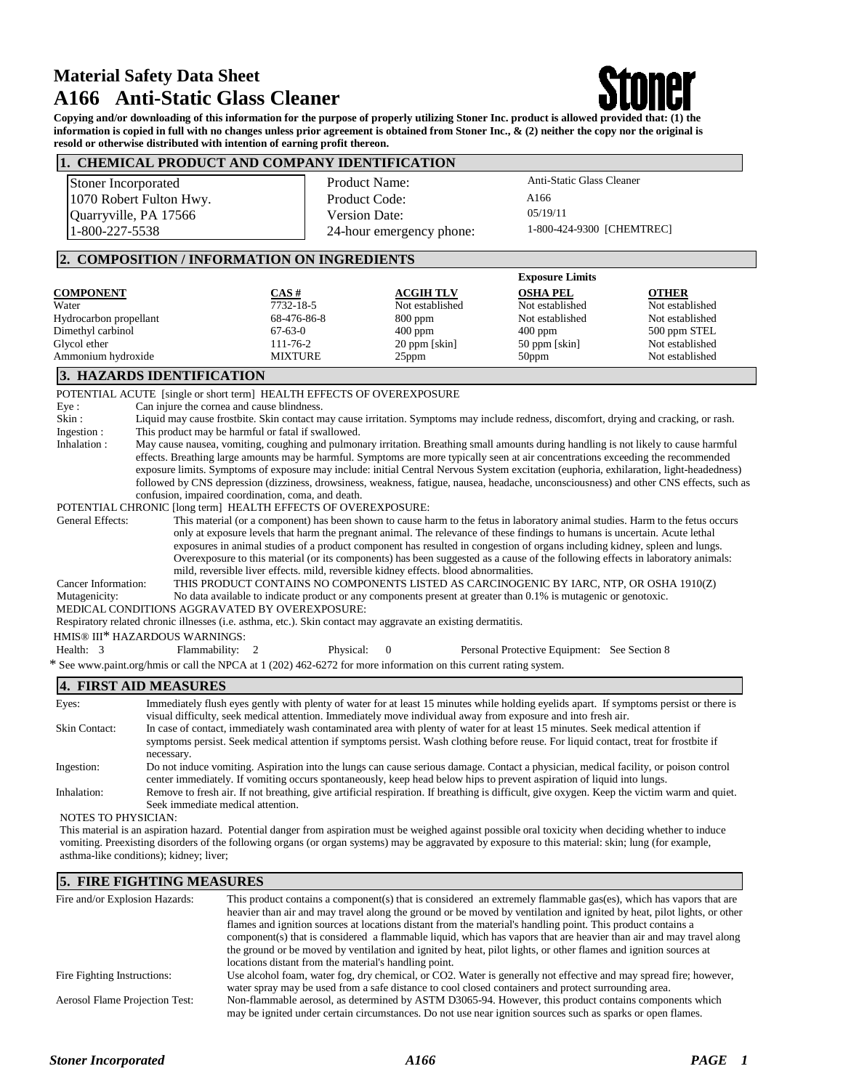# **Material Safety Data Sheet A166 Anti-Static Glass Cleaner**



 **Copying and/or downloading of this information for the purpose of properly utilizing Stoner Inc. product is allowed provided that: (1) the information is copied in full with no changes unless prior agreement is obtained from Stoner Inc., & (2) neither the copy nor the original is resold or otherwise distributed with intention of earning profit thereon. 1. CHEMICAL PRODUCT AND COMPANY IDENTIFICATION** 

| <b>1. CHEMICAL PRODUCT AND COMPANY IDENTIFICATION</b>                                                                                                                                         |                                            |                          |                                                                                                                                 |                 |
|-----------------------------------------------------------------------------------------------------------------------------------------------------------------------------------------------|--------------------------------------------|--------------------------|---------------------------------------------------------------------------------------------------------------------------------|-----------------|
| Stoner Incorporated                                                                                                                                                                           | <b>Product Name:</b>                       |                          | Anti-Static Glass Cleaner                                                                                                       |                 |
| 1070 Robert Fulton Hwy.                                                                                                                                                                       | Product Code:                              |                          | A166                                                                                                                            |                 |
| Quarryville, PA 17566                                                                                                                                                                         | Version Date:                              |                          | 05/19/11                                                                                                                        |                 |
| 1-800-227-5538                                                                                                                                                                                |                                            | 24-hour emergency phone: | 1-800-424-9300 [CHEMTREC]                                                                                                       |                 |
|                                                                                                                                                                                               |                                            |                          |                                                                                                                                 |                 |
| 2. COMPOSITION / INFORMATION ON INGREDIENTS                                                                                                                                                   |                                            |                          |                                                                                                                                 |                 |
|                                                                                                                                                                                               |                                            |                          | <b>Exposure Limits</b>                                                                                                          |                 |
| CAS#<br><b>COMPONENT</b>                                                                                                                                                                      |                                            | <b>ACGIH TLV</b>         | <b>OSHA PEL</b>                                                                                                                 | <b>OTHER</b>    |
| 7732-18-5<br>Water                                                                                                                                                                            |                                            | Not established          | Not established                                                                                                                 | Not established |
| Hydrocarbon propellant                                                                                                                                                                        | 68-476-86-8                                | $800$ ppm                | Not established                                                                                                                 | Not established |
| Dimethyl carbinol<br>$67-63-0$                                                                                                                                                                |                                            | $400$ ppm                | $400$ ppm                                                                                                                       | 500 ppm STEL    |
| Glycol ether<br>111-76-2                                                                                                                                                                      |                                            | 20 ppm [skin]            | 50 ppm [skin]                                                                                                                   | Not established |
| Ammonium hydroxide                                                                                                                                                                            | <b>MIXTURE</b>                             | 25ppm                    | 50ppm                                                                                                                           | Not established |
| 3. HAZARDS IDENTIFICATION                                                                                                                                                                     |                                            |                          |                                                                                                                                 |                 |
| POTENTIAL ACUTE [single or short term] HEALTH EFFECTS OF OVEREXPOSURE                                                                                                                         |                                            |                          |                                                                                                                                 |                 |
| Eye:                                                                                                                                                                                          | Can injure the cornea and cause blindness. |                          |                                                                                                                                 |                 |
| Skin:<br>Liquid may cause frostbite. Skin contact may cause irritation. Symptoms may include redness, discomfort, drying and cracking, or rash.                                               |                                            |                          |                                                                                                                                 |                 |
| This product may be harmful or fatal if swallowed.<br>Ingestion:                                                                                                                              |                                            |                          |                                                                                                                                 |                 |
| May cause nausea, vomiting, coughing and pulmonary irritation. Breathing small amounts during handling is not likely to cause harmful<br>Inhalation:                                          |                                            |                          |                                                                                                                                 |                 |
| effects. Breathing large amounts may be harmful. Symptoms are more typically seen at air concentrations exceeding the recommended                                                             |                                            |                          |                                                                                                                                 |                 |
| exposure limits. Symptoms of exposure may include: initial Central Nervous System excitation (euphoria, exhilaration, light-headedness)                                                       |                                            |                          |                                                                                                                                 |                 |
| followed by CNS depression (dizziness, drowsiness, weakness, fatigue, nausea, headache, unconsciousness) and other CNS effects, such as<br>confusion, impaired coordination, coma, and death. |                                            |                          |                                                                                                                                 |                 |
| POTENTIAL CHRONIC [long term] HEALTH EFFECTS OF OVEREXPOSURE:                                                                                                                                 |                                            |                          |                                                                                                                                 |                 |
| <b>General Effects:</b>                                                                                                                                                                       |                                            |                          | This material (or a component) has been shown to cause harm to the fetus in laboratory animal studies. Harm to the fetus occurs |                 |
|                                                                                                                                                                                               |                                            |                          | only at exposure levels that harm the pregnant animal. The relevance of these findings to humans is uncertain. Acute lethal     |                 |
|                                                                                                                                                                                               |                                            |                          | exposures in animal studies of a product component has resulted in congestion of organs including kidney, spleen and lungs.     |                 |
|                                                                                                                                                                                               |                                            |                          | Overexposure to this material (or its components) has been suggested as a cause of the following effects in laboratory animals: |                 |
| mild, reversible liver effects. mild, reversible kidney effects. blood abnormalities.                                                                                                         |                                            |                          |                                                                                                                                 |                 |
| Cancer Information:                                                                                                                                                                           |                                            |                          | THIS PRODUCT CONTAINS NO COMPONENTS LISTED AS CARCINOGENIC BY IARC, NTP, OR OSHA 1910(Z)                                        |                 |
| Mutagenicity:                                                                                                                                                                                 |                                            |                          | No data available to indicate product or any components present at greater than 0.1% is mutagenic or genotoxic.                 |                 |
| MEDICAL CONDITIONS AGGRAVATED BY OVEREXPOSURE:                                                                                                                                                |                                            |                          |                                                                                                                                 |                 |
| Respiratory related chronic illnesses (i.e. asthma, etc.). Skin contact may aggravate an existing dermatitis.                                                                                 |                                            |                          |                                                                                                                                 |                 |
| HMIS® III* HAZARDOUS WARNINGS:                                                                                                                                                                |                                            |                          |                                                                                                                                 |                 |
| Health: 3<br>Flammability: 2                                                                                                                                                                  | Physical:                                  | $\theta$                 | Personal Protective Equipment: See Section 8                                                                                    |                 |
| * See www.paint.org/hmis or call the NPCA at 1 (202) 462-6272 for more information on this current rating system.                                                                             |                                            |                          |                                                                                                                                 |                 |
| <b>4. FIRST AID MEASURES</b>                                                                                                                                                                  |                                            |                          |                                                                                                                                 |                 |
| Immediately flush eyes gently with plenty of water for at least 15 minutes while holding eyelids apart. If symptoms persist or there is<br>Eyes:                                              |                                            |                          |                                                                                                                                 |                 |
| visual difficulty, seek medical attention. Immediately move individual away from exposure and into fresh air.                                                                                 |                                            |                          |                                                                                                                                 |                 |
| <b>Skin Contact:</b><br>In case of contact, immediately wash contaminated area with plenty of water for at least 15 minutes. Seek medical attention if                                        |                                            |                          |                                                                                                                                 |                 |

## symptoms persist. Seek medical attention if symptoms persist. Wash clothing before reuse. For liquid contact, treat for frostbite if necessary. Ingestion: Do not induce vomiting. Aspiration into the lungs can cause serious damage. Contact a physician, medical facility, or poison control

## center immediately. If vomiting occurs spontaneously, keep head below hips to prevent aspiration of liquid into lungs. Inhalation: Remove to fresh air. If not breathing, give artificial respiration. If breathing is difficult, give oxygen. Keep the victim warm and quiet. Seek immediate medical attention.

NOTES TO PHYSICIAN:

This material is an aspiration hazard. Potential danger from aspiration must be weighed against possible oral toxicity when deciding whether to induce vomiting. Preexisting disorders of the following organs (or organ systems) may be aggravated by exposure to this material: skin; lung (for example, asthma-like conditions); kidney; liver;

# **5. FIRE FIGHTING MEASURES**

| Fire and/or Explosion Hazards:        | This product contains a component(s) that is considered an extremely flammable gas(es), which has vapors that are                                                                                                     |
|---------------------------------------|-----------------------------------------------------------------------------------------------------------------------------------------------------------------------------------------------------------------------|
|                                       | heavier than air and may travel along the ground or be moved by ventilation and ignited by heat, pilot lights, or other                                                                                               |
|                                       | flames and ignition sources at locations distant from the material's handling point. This product contains a                                                                                                          |
|                                       | component(s) that is considered a flammable liquid, which has vapors that are heavier than air and may travel along                                                                                                   |
|                                       | the ground or be moved by ventilation and ignited by heat, pilot lights, or other flames and ignition sources at                                                                                                      |
|                                       | locations distant from the material's handling point.                                                                                                                                                                 |
| Fire Fighting Instructions:           | Use alcohol foam, water fog, dry chemical, or CO2. Water is generally not effective and may spread fire; however,                                                                                                     |
|                                       | water spray may be used from a safe distance to cool closed containers and protect surrounding area.                                                                                                                  |
| <b>Aerosol Flame Projection Test:</b> | Non-flammable aerosol, as determined by ASTM D3065-94. However, this product contains components which<br>may be ignited under certain circumstances. Do not use near ignition sources such as sparks or open flames. |
|                                       |                                                                                                                                                                                                                       |